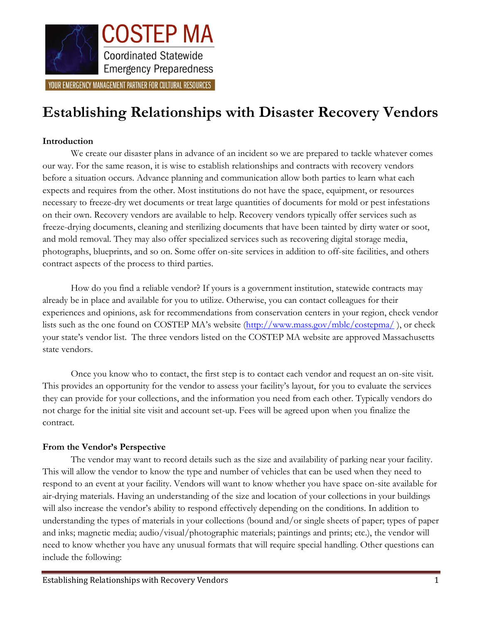

# **Establishing Relationships with Disaster Recovery Vendors**

# **Introduction**

We create our disaster plans in advance of an incident so we are prepared to tackle whatever comes our way. For the same reason, it is wise to establish relationships and contracts with recovery vendors before a situation occurs. Advance planning and communication allow both parties to learn what each expects and requires from the other. Most institutions do not have the space, equipment, or resources necessary to freeze-dry wet documents or treat large quantities of documents for mold or pest infestations on their own. Recovery vendors are available to help. Recovery vendors typically offer services such as freeze-drying documents, cleaning and sterilizing documents that have been tainted by dirty water or soot, and mold removal. They may also offer specialized services such as recovering digital storage media, photographs, blueprints, and so on. Some offer on-site services in addition to off-site facilities, and others contract aspects of the process to third parties.

How do you find a reliable vendor? If yours is a government institution, statewide contracts may already be in place and available for you to utilize. Otherwise, you can contact colleagues for their experiences and opinions, ask for recommendations from conservation centers in your region, check vendor lists such as the one found on COSTEP MA's website (<http://www.mass.gov/mblc/costepma/>), or check your state's vendor list. The three vendors listed on the COSTEP MA website are approved Massachusetts state vendors.

Once you know who to contact, the first step is to contact each vendor and request an on-site visit. This provides an opportunity for the vendor to assess your facility's layout, for you to evaluate the services they can provide for your collections, and the information you need from each other. Typically vendors do not charge for the initial site visit and account set-up. Fees will be agreed upon when you finalize the contract.

#### **From the Vendor's Perspective**

The vendor may want to record details such as the size and availability of parking near your facility. This will allow the vendor to know the type and number of vehicles that can be used when they need to respond to an event at your facility. Vendors will want to know whether you have space on-site available for air-drying materials. Having an understanding of the size and location of your collections in your buildings will also increase the vendor's ability to respond effectively depending on the conditions. In addition to understanding the types of materials in your collections (bound and/or single sheets of paper; types of paper and inks; magnetic media; audio/visual/photographic materials; paintings and prints; etc.), the vendor will need to know whether you have any unusual formats that will require special handling. Other questions can include the following: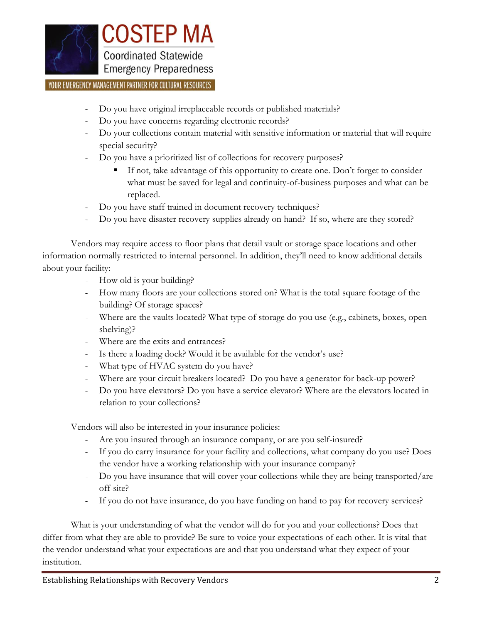

- Do you have original irreplaceable records or published materials?
- Do you have concerns regarding electronic records?
- Do your collections contain material with sensitive information or material that will require special security?
- Do you have a prioritized list of collections for recovery purposes?
	- If not, take advantage of this opportunity to create one. Don't forget to consider what must be saved for legal and continuity-of-business purposes and what can be replaced.
- Do you have staff trained in document recovery techniques?
- Do you have disaster recovery supplies already on hand? If so, where are they stored?

Vendors may require access to floor plans that detail vault or storage space locations and other information normally restricted to internal personnel. In addition, they'll need to know additional details about your facility:

- How old is your building?
- How many floors are your collections stored on? What is the total square footage of the building? Of storage spaces?
- Where are the vaults located? What type of storage do you use (e.g., cabinets, boxes, open shelving)?
- Where are the exits and entrances?
- Is there a loading dock? Would it be available for the vendor's use?
- What type of HVAC system do you have?
- Where are your circuit breakers located? Do you have a generator for back-up power?
- Do you have elevators? Do you have a service elevator? Where are the elevators located in relation to your collections?

Vendors will also be interested in your insurance policies:

- Are you insured through an insurance company, or are you self-insured?
- If you do carry insurance for your facility and collections, what company do you use? Does the vendor have a working relationship with your insurance company?
- Do you have insurance that will cover your collections while they are being transported/are off-site?
- If you do not have insurance, do you have funding on hand to pay for recovery services?

What is your understanding of what the vendor will do for you and your collections? Does that differ from what they are able to provide? Be sure to voice your expectations of each other. It is vital that the vendor understand what your expectations are and that you understand what they expect of your institution.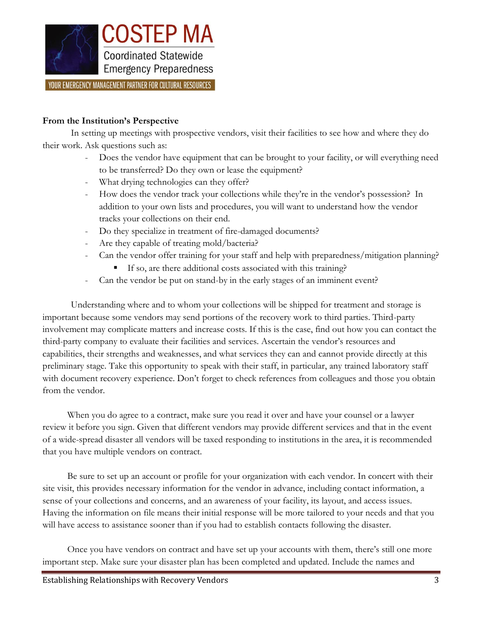

# **From the Institution's Perspective**

In setting up meetings with prospective vendors, visit their facilities to see how and where they do their work. Ask questions such as:

- Does the vendor have equipment that can be brought to your facility, or will everything need to be transferred? Do they own or lease the equipment?
- What drying technologies can they offer?
- How does the vendor track your collections while they're in the vendor's possession? In addition to your own lists and procedures, you will want to understand how the vendor tracks your collections on their end.
- Do they specialize in treatment of fire-damaged documents?
- Are they capable of treating mold/bacteria?
- Can the vendor offer training for your staff and help with preparedness/mitigation planning?
	- If so, are there additional costs associated with this training?
- Can the vendor be put on stand-by in the early stages of an imminent event?

Understanding where and to whom your collections will be shipped for treatment and storage is important because some vendors may send portions of the recovery work to third parties. Third-party involvement may complicate matters and increase costs. If this is the case, find out how you can contact the third-party company to evaluate their facilities and services. Ascertain the vendor's resources and capabilities, their strengths and weaknesses, and what services they can and cannot provide directly at this preliminary stage. Take this opportunity to speak with their staff, in particular, any trained laboratory staff with document recovery experience. Don't forget to check references from colleagues and those you obtain from the vendor.

When you do agree to a contract, make sure you read it over and have your counsel or a lawyer review it before you sign. Given that different vendors may provide different services and that in the event of a wide-spread disaster all vendors will be taxed responding to institutions in the area, it is recommended that you have multiple vendors on contract.

Be sure to set up an account or profile for your organization with each vendor. In concert with their site visit, this provides necessary information for the vendor in advance, including contact information, a sense of your collections and concerns, and an awareness of your facility, its layout, and access issues. Having the information on file means their initial response will be more tailored to your needs and that you will have access to assistance sooner than if you had to establish contacts following the disaster.

Once you have vendors on contract and have set up your accounts with them, there's still one more important step. Make sure your disaster plan has been completed and updated. Include the names and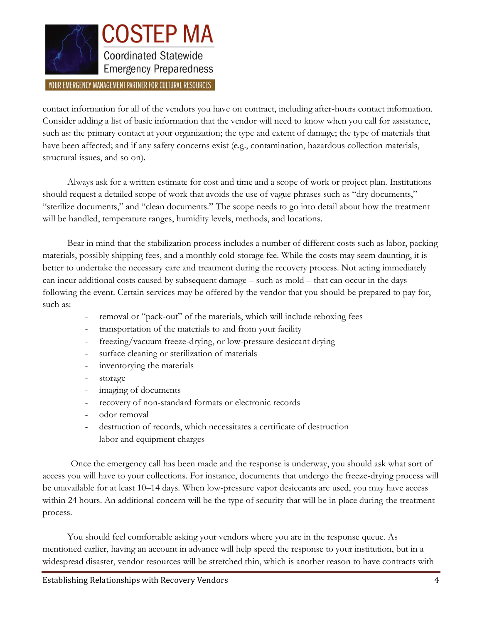

contact information for all of the vendors you have on contract, including after-hours contact information. Consider adding a list of basic information that the vendor will need to know when you call for assistance, such as: the primary contact at your organization; the type and extent of damage; the type of materials that have been affected; and if any safety concerns exist (e.g., contamination, hazardous collection materials, structural issues, and so on).

Always ask for a written estimate for cost and time and a scope of work or project plan. Institutions should request a detailed scope of work that avoids the use of vague phrases such as "dry documents," "sterilize documents," and "clean documents." The scope needs to go into detail about how the treatment will be handled, temperature ranges, humidity levels, methods, and locations.

Bear in mind that the stabilization process includes a number of different costs such as labor, packing materials, possibly shipping fees, and a monthly cold-storage fee. While the costs may seem daunting, it is better to undertake the necessary care and treatment during the recovery process. Not acting immediately can incur additional costs caused by subsequent damage – such as mold – that can occur in the days following the event. Certain services may be offered by the vendor that you should be prepared to pay for, such as:

- removal or "pack-out" of the materials, which will include reboxing fees
- transportation of the materials to and from your facility
- freezing/vacuum freeze-drying, or low-pressure desiccant drying
- surface cleaning or sterilization of materials
- inventorying the materials
- storage
- imaging of documents
- recovery of non-standard formats or electronic records
- odor removal
- destruction of records, which necessitates a certificate of destruction
- labor and equipment charges

Once the emergency call has been made and the response is underway, you should ask what sort of access you will have to your collections. For instance, documents that undergo the freeze-drying process will be unavailable for at least 10–14 days. When low-pressure vapor desiccants are used, you may have access within 24 hours. An additional concern will be the type of security that will be in place during the treatment process.

You should feel comfortable asking your vendors where you are in the response queue. As mentioned earlier, having an account in advance will help speed the response to your institution, but in a widespread disaster, vendor resources will be stretched thin, which is another reason to have contracts with